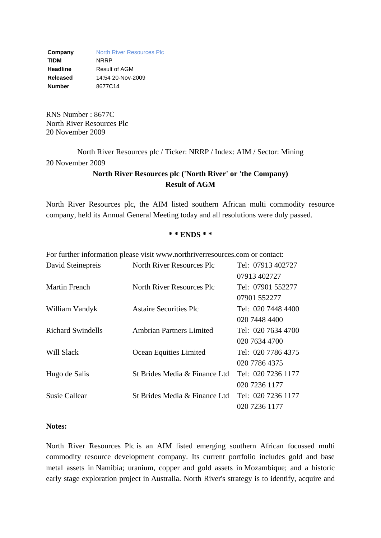**Company** North River Resources Plc **TIDM** NRRP **Headline** Result of AGM **Released** 14:54 20-Nov-2009 **Number** 8677C14

RNS Number : 8677C North River Resources Plc 20 November 2009

North River Resources plc / Ticker: NRRP / Index: AIM / Sector: Mining 20 November 2009

## **North River Resources plc ('North River' or 'the Company) Result of AGM**

North River Resources plc, the AIM listed southern African multi commodity resource company, held its Annual General Meeting today and all resolutions were duly passed.

## **\* \* ENDS \* \***

|                          | For further information please visit www.northriverresources.com or contact: |                    |
|--------------------------|------------------------------------------------------------------------------|--------------------|
| David Steinepreis        | North River Resources Plc                                                    | Tel: 07913 402727  |
|                          |                                                                              | 07913 402727       |
| <b>Martin French</b>     | North River Resources Plc                                                    | Tel: 07901 552277  |
|                          |                                                                              | 07901 552277       |
| William Vandyk           | <b>Astaire Securities Plc</b>                                                | Tel: 020 7448 4400 |
|                          |                                                                              | 020 7448 4400      |
| <b>Richard Swindells</b> | <b>Ambrian Partners Limited</b>                                              | Tel: 020 7634 4700 |
|                          |                                                                              | 020 7634 4700      |
| Will Slack               | Ocean Equities Limited                                                       | Tel: 020 7786 4375 |
|                          |                                                                              | 020 7786 4375      |
| Hugo de Salis            | St Brides Media & Finance Ltd                                                | Tel: 020 7236 1177 |
|                          |                                                                              | 020 7236 1177      |
| <b>Susie Callear</b>     | St Brides Media & Finance Ltd                                                | Tel: 020 7236 1177 |
|                          |                                                                              | 020 7236 1177      |

## **Notes:**

North River Resources Plc is an AIM listed emerging southern African focussed multi commodity resource development company. Its current portfolio includes gold and base metal assets in Namibia; uranium, copper and gold assets in Mozambique; and a historic early stage exploration project in Australia. North River's strategy is to identify, acquire and